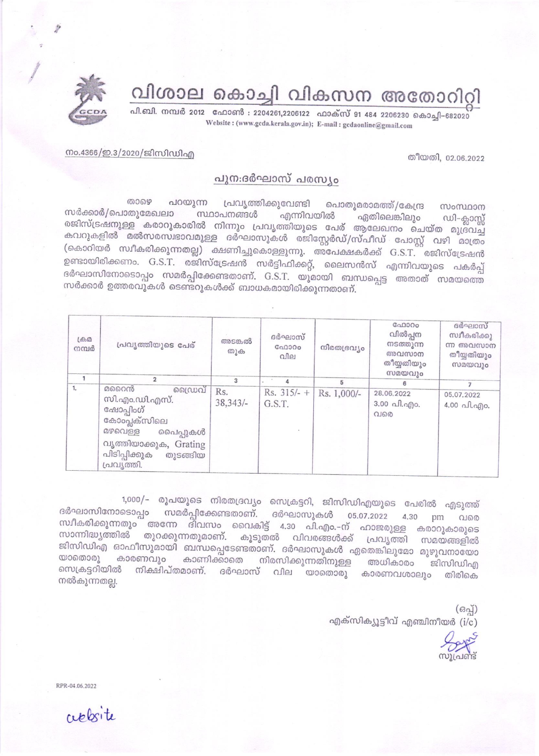വിശാല കൊച്ചി വികസന അതോറിറി

പി.ബി. നമ്പർ 2012 ഫോൺ : 2204261,2206122 ഫാക്സ് 91 484 2206230 കൊച്ചി-682020 Website: (www.gcda.kerala.gov.in); E-mail: gcdaonline@gmail.com

നം.4366/ഇ.3/2020/ജിസിഡിഎ

## തീയതി, 02.06.2022

## പുന:ദർഘാസ് പരസ്യം

றைஒ പറയുന്ന പ്രവൃത്തിക്കുവേണ്ടി പൊതുമരാമത്ത്/കേന്ദ്ര സംസ്ഥാന സർക്കാർ/പൊതുമേഖലാ സ്ഥാപനങ്ങൾ എന്നിവയിൽ ഏതിലെങ്കിലും ഡി-ക്ലാസ്സ് രജിസ്ട്രഷനുള്ള കരാറുകാരിൽ നിന്നും പ്രവൃത്തിയുടെ പേര് ആലേഖനം ചെയ്ത മുദ്രവച്ച കവറുകളിൽ മൽസരസ്ഥാവമുള്ള ദർഘാസുകൾ രജിസ്റ്റേർഡ്/സ്പീഡ് പോസ്റ്റ് വഴി മാത്രം (കൊറിയർ സ്ഥീകരിക്കുന്നതല്ല) ക്ഷണിച്ചുകൊള്ളുന്നു. അപേക്ഷകർക്ക് G.S.T. രജിസ്ട്രേഷൻ ഉണ്ടായിരിക്കണം. G.S.T. രജിസ്ട്രേഷൻ സർട്ടിഫിക്കറ്റ്, ലൈസൻസ് എന്നിവയുടെ പകർപ്പ് ദർഘാസിനോടൊപ്പം സമർപ്പിക്കേണ്ടതാണ്. G.S.T. യുമായി ബന്ധപ്പെട്ട അതാത് സമയത്തെ സർക്കാർ ഉത്തരവുകൾ ടെണ്ടറുകൾക്ക് ബാധകമായിരിക്കുന്നതാണ്.

| LefB22<br>നമ്പർ | പ്രവൃത്തിയുടെ പേര്                                                                                                                                      | അടങ്കൽ<br>തുക     | ദർഘാസ്<br>C <sub>0</sub> 000<br>വില | നിരതദ്രവ്യം | GAD300<br>വിൽപ്പന<br>നടത്തുന്ന<br>അവസാന<br>തീയ്യതിയും<br>സമയവും | ദർഘാസ്<br>സ്വീകരിക്കു<br>ന്ന അവസാന<br>തീയ്യതിയും<br>സമയവും |
|-----------------|---------------------------------------------------------------------------------------------------------------------------------------------------------|-------------------|-------------------------------------|-------------|-----------------------------------------------------------------|------------------------------------------------------------|
|                 | $\overline{2}$                                                                                                                                          | 3                 |                                     | 5           | 6                                                               |                                                            |
| 1.              | മറൈൻ<br>ഡൈവ<br>സി.എം.ഡി.എസ്.<br>ഹ്ഷോപ്പിംഗ്<br>കോംപ്ലക്സിലെ<br>മഴവെള്ള<br>പൈപ്പുകൾ<br>വൃത്തിയാക്കുക, Grating<br>പിടിപ്പിക്കുക<br>തുടങ്ങിയ<br>പ്രവൃത്തി. | Rs.<br>$38,343/-$ | $Rs. 315/- +$<br>G.S.T.             | Rs. 1,000/- | 28.06.2022<br>$3.00 \text{ Al.}$ $q$ ) $o.$<br>വരെ              | 05.07.2022<br>$4.00$ all. ago.                             |

1,000/- രൂപയുടെ നിരതദ്രവ്യം സെക്രട്ടറി, ജിസിഡിഎയുടെ പേരിൽ എടുത്ത് ദർഘാസിനോടൊപ്പം സമർപ്പിക്കേണ്ടതാണ്. ദർഘാസുകൾ 05.07.2022 4.30 pm വരെ സ്ഥീകരിക്കുന്നതും അന്നേ ദിവസം വൈകിട്ട് 4.30 പി.എം.-ന് ഹാജരുള്ള കരാറുകാരുടെ സാന്നിദ്ധ്യത്തിൽ തുറക്കുന്നതുമാണ്. കൂടുതൽ വിവരങ്ങൾക്ക് പ്രവൃത്തി സമയങ്ങളിൽ ജിസിഡിഎ ഓഫീസുമായി ബന്ധപ്പെടേണ്ടതാണ്. ദർഘാസുകൾ ഏതെങ്കിലുമോ മുഴുവനായോ യാതൊരു കാരണവും കാണിക്കാതെ നിരസിക്കുന്നതിനുള്ള അധികാരം ജിസിഡിഎ സെക്രട്ടറിയിൽ നിക്ഷിപ്തമാണ്. ദർഘാസ് വില യാതൊരു കാരണവശാലും തിരികെ നൽകുന്നതല്ല.

> $(63q)$ എക്സിക്യൂട്ടീവ് എഞ്ചിനീയർ  $(i/c)$

RPR-04.06.2022

ceptorite